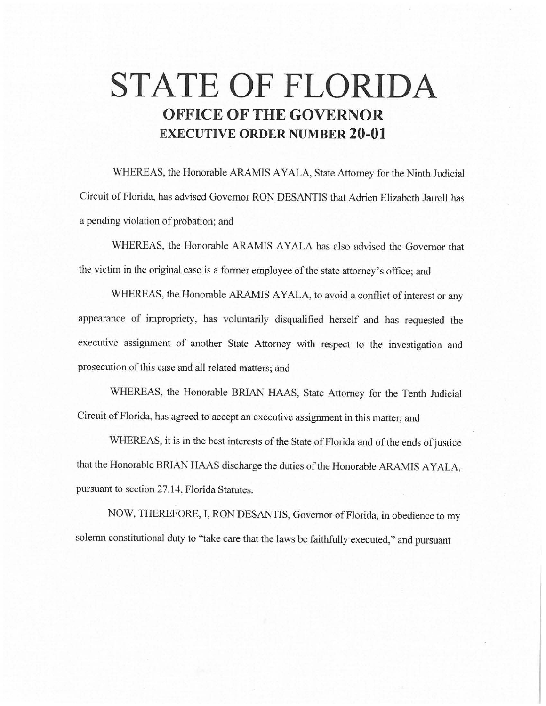## **STATE OF FLORIDA OFFICE OF THE GOVERNOR EXECUTIVE ORDER NUMBER 20-01**

WHEREAS, the Honorable ARAMIS AYALA, State Attorney for the Ninth Judicial Circuit of Florida, has advised Governor RON DESANTIS that Adrien Elizabeth Jarrell has a pending violation of probation; and

WHEREAS, the Honorable ARAMIS AYALA has also advised the Governor that the victim in the original case is a former employee of the state attorney's office; and

WHEREAS, the Honorable ARAMIS AYALA, to avoid a conflict of interest or any appearance of impropriety, has voluntarily disqualified herself and has requested the executive assignment of another State Attorney with respect to the investigation and prosecution of this case and all related matters; and

WHEREAS, the Honorable BRIAN HAAS, State Attorney for the Tenth Judicial Circuit of Florida, has agreed to accept an executive assignment in this matter; and

WHEREAS, it is in the best interests of the State of Florida and of the ends of justice that the Honorable BRIAN HAAS discharge the duties of the Honorable ARAMIS AYALA, pursuant to section 27.14, Florida Statutes.

NOW, THEREFORE, I, RON DESANTIS, Governor of Florida, in obedience to my solemn constitutional duty to ''take care that the laws be faithfully executed," and pursuant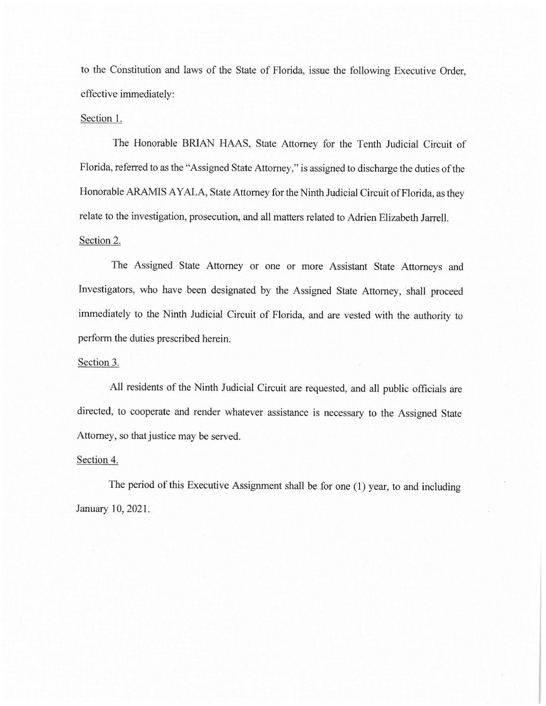to the Constitution and laws of the State of Florida, issue the following Executive Order, effective immediately:

## Section I.

The Honorable BRIAN HAAS, State Attorney for the Tenth Judicial Circuit of Florida, referred to as the "Assigned State Attorney," is assigned to discharge the duties of the Honorable ARAMIS AYALA, State Attorney for the Ninth Judicial Circuit of Florida, as they relate to the investigation, prosecution, and all matters related to Adrien Elizabeth Jarrell. Section 2.

The Assigned State Attorney or one or more Assistant State Attorneys and Investigators, who have been designated by the Assigned State Attorney, shall proceed immediately to the Ninth Judicial Circuit of Florida, and are vested with the authority to perform the duties prescribed herein.

## Section 3.

All residents of the Ninth Judicial Circuit are requested, and all public officials are directed, to cooperate and render whatever assistance is necessary to the Assigned State Attorney, so that justice may be served.

## Section 4.

The period of this Executive Assignment shall be for one (I) year, to and including January 10, 2021.